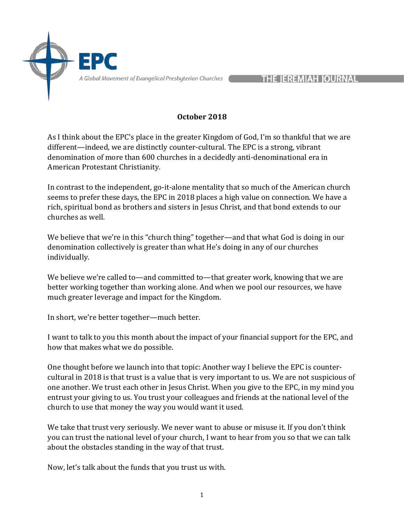

**THE JEREMIAH JOURNAL** 

### **October 2018**

As I think about the EPC's place in the greater Kingdom of God, I'm so thankful that we are different—indeed, we are distinctly counter-cultural. The EPC is a strong, vibrant denomination of more than 600 churches in a decidedly anti-denominational era in American Protestant Christianity.

In contrast to the independent, go-it-alone mentality that so much of the American church seems to prefer these days, the EPC in 2018 places a high value on connection. We have a rich, spiritual bond as brothers and sisters in Jesus Christ, and that bond extends to our churches as well.

We believe that we're in this "church thing" together—and that what God is doing in our denomination collectively is greater than what He's doing in any of our churches individually.

We believe we're called to—and committed to—that greater work, knowing that we are better working together than working alone. And when we pool our resources, we have much greater leverage and impact for the Kingdom.

In short, we're better together—much better.

I want to talk to you this month about the impact of your financial support for the EPC, and how that makes what we do possible.

One thought before we launch into that topic: Another way I believe the EPC is countercultural in 2018 is that trust is a value that is very important to us. We are not suspicious of one another. We trust each other in Jesus Christ. When you give to the EPC, in my mind you entrust your giving to us. You trust your colleagues and friends at the national level of the church to use that money the way you would want it used.

We take that trust very seriously. We never want to abuse or misuse it. If you don't think you can trust the national level of your church, I want to hear from you so that we can talk about the obstacles standing in the way of that trust.

Now, let's talk about the funds that you trust us with.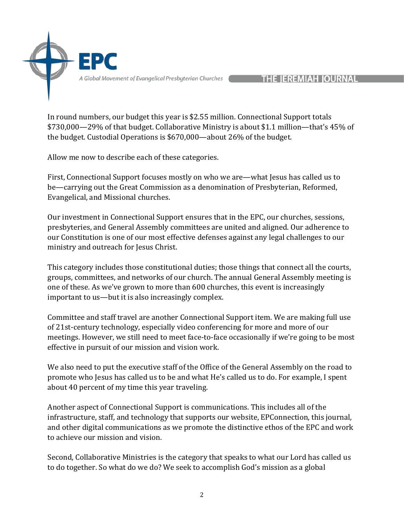

#### **THE IEREMIAH IOURNAL**

In round numbers, our budget this year is \$2.55 million. Connectional Support totals \$730,000—29% of that budget. Collaborative Ministry is about \$1.1 million—that's 45% of the budget. Custodial Operations is  $$670,000$ —about 26% of the budget.

Allow me now to describe each of these categories.

First, Connectional Support focuses mostly on who we are—what Jesus has called us to be—carrying out the Great Commission as a denomination of Presbyterian, Reformed, Evangelical, and Missional churches.

Our investment in Connectional Support ensures that in the EPC, our churches, sessions, presbyteries, and General Assembly committees are united and aligned. Our adherence to our Constitution is one of our most effective defenses against any legal challenges to our ministry and outreach for Jesus Christ.

This category includes those constitutional duties; those things that connect all the courts, groups, committees, and networks of our church. The annual General Assembly meeting is one of these. As we've grown to more than 600 churches, this event is increasingly important to us—but it is also increasingly complex.

Committee and staff travel are another Connectional Support item. We are making full use of 21st-century technology, especially video conferencing for more and more of our meetings. However, we still need to meet face-to-face occasionally if we're going to be most effective in pursuit of our mission and vision work.

We also need to put the executive staff of the Office of the General Assembly on the road to promote who Jesus has called us to be and what He's called us to do. For example, I spent about 40 percent of my time this year traveling.

Another aspect of Connectional Support is communications. This includes all of the infrastructure, staff, and technology that supports our website, EPConnection, this journal, and other digital communications as we promote the distinctive ethos of the EPC and work to achieve our mission and vision.

Second, Collaborative Ministries is the category that speaks to what our Lord has called us to do together. So what do we do? We seek to accomplish God's mission as a global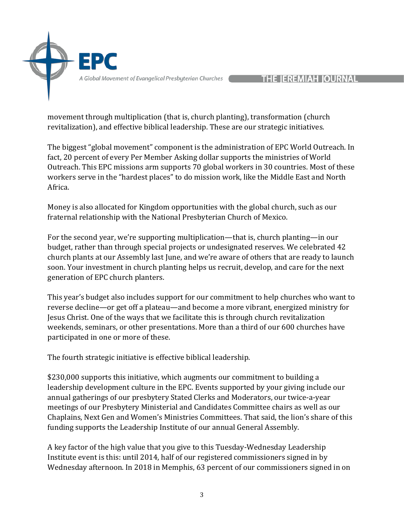

## **THE IEREMIAH JOURNAL**

movement through multiplication (that is, church planting), transformation (church revitalization), and effective biblical leadership. These are our strategic initiatives.

The biggest "global movement" component is the administration of EPC World Outreach. In fact, 20 percent of every Per Member Asking dollar supports the ministries of World Outreach. This EPC missions arm supports 70 global workers in 30 countries. Most of these workers serve in the "hardest places" to do mission work, like the Middle East and North Africa.

Money is also allocated for Kingdom opportunities with the global church, such as our fraternal relationship with the National Presbyterian Church of Mexico.

For the second year, we're supporting multiplication—that is, church planting—in our budget, rather than through special projects or undesignated reserves. We celebrated 42 church plants at our Assembly last June, and we're aware of others that are ready to launch soon. Your investment in church planting helps us recruit, develop, and care for the next generation of EPC church planters.

This year's budget also includes support for our commitment to help churches who want to reverse decline—or get off a plateau—and become a more vibrant, energized ministry for Jesus Christ. One of the ways that we facilitate this is through church revitalization weekends, seminars, or other presentations. More than a third of our 600 churches have participated in one or more of these.

The fourth strategic initiative is effective biblical leadership.

\$230,000 supports this initiative, which augments our commitment to building a leadership development culture in the EPC. Events supported by your giving include our annual gatherings of our presbytery Stated Clerks and Moderators, our twice-a-year meetings of our Presbytery Ministerial and Candidates Committee chairs as well as our Chaplains, Next Gen and Women's Ministries Committees. That said, the lion's share of this funding supports the Leadership Institute of our annual General Assembly.

A key factor of the high value that you give to this Tuesday-Wednesday Leadership Institute event is this: until 2014, half of our registered commissioners signed in by Wednesday afternoon. In 2018 in Memphis, 63 percent of our commissioners signed in on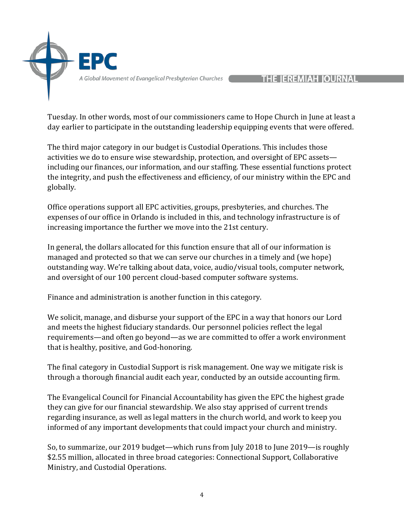

Tuesday. In other words, most of our commissioners came to Hope Church in June at least a day earlier to participate in the outstanding leadership equipping events that were offered.

The third major category in our budget is Custodial Operations. This includes those activities we do to ensure wise stewardship, protection, and oversight of EPC assets including our finances, our information, and our staffing. These essential functions protect the integrity, and push the effectiveness and efficiency, of our ministry within the EPC and globally.

Office operations support all EPC activities, groups, presbyteries, and churches. The expenses of our office in Orlando is included in this, and technology infrastructure is of increasing importance the further we move into the 21st century.

In general, the dollars allocated for this function ensure that all of our information is managed and protected so that we can serve our churches in a timely and (we hope) outstanding way. We're talking about data, voice, audio/visual tools, computer network, and oversight of our 100 percent cloud-based computer software systems.

Finance and administration is another function in this category.

We solicit, manage, and disburse your support of the EPC in a way that honors our Lord and meets the highest fiduciary standards. Our personnel policies reflect the legal requirements—and often go beyond—as we are committed to offer a work environment that is healthy, positive, and God-honoring.

The final category in Custodial Support is risk management. One way we mitigate risk is through a thorough financial audit each year, conducted by an outside accounting firm.

The Evangelical Council for Financial Accountability has given the EPC the highest grade they can give for our financial stewardship. We also stay apprised of current trends regarding insurance, as well as legal matters in the church world, and work to keep you informed of any important developments that could impact your church and ministry.

So, to summarize, our 2019 budget—which runs from July 2018 to June 2019—is roughly \$2.55 million, allocated in three broad categories: Connectional Support, Collaborative Ministry, and Custodial Operations.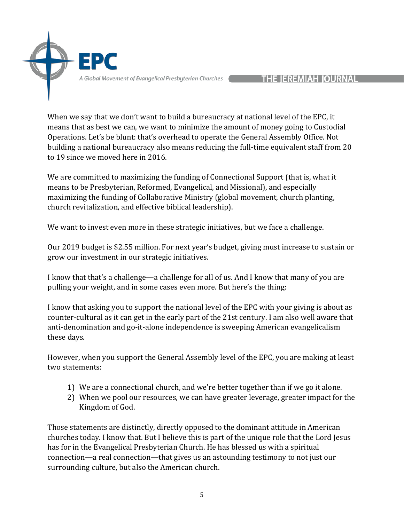

# **THE IEREMIAH IOURNAL**

When we say that we don't want to build a bureaucracy at national level of the EPC, it means that as best we can, we want to minimize the amount of money going to Custodial Operations. Let's be blunt: that's overhead to operate the General Assembly Office. Not building a national bureaucracy also means reducing the full-time equivalent staff from 20 to 19 since we moved here in 2016.

We are committed to maximizing the funding of Connectional Support (that is, what it means to be Presbyterian, Reformed, Evangelical, and Missional), and especially maximizing the funding of Collaborative Ministry (global movement, church planting, church revitalization, and effective biblical leadership).

We want to invest even more in these strategic initiatives, but we face a challenge.

Our 2019 budget is \$2.55 million. For next year's budget, giving must increase to sustain or grow our investment in our strategic initiatives.

I know that that's a challenge—a challenge for all of us. And I know that many of you are pulling your weight, and in some cases even more. But here's the thing:

I know that asking you to support the national level of the EPC with your giving is about as counter-cultural as it can get in the early part of the 21st century. I am also well aware that anti-denomination and go-it-alone independence is sweeping American evangelicalism these days.

However, when you support the General Assembly level of the EPC, you are making at least two statements:

- 1) We are a connectional church, and we're better together than if we go it alone.
- 2) When we pool our resources, we can have greater leverage, greater impact for the Kingdom of God.

Those statements are distinctly, directly opposed to the dominant attitude in American churches today. I know that. But I believe this is part of the unique role that the Lord Jesus has for in the Evangelical Presbyterian Church. He has blessed us with a spiritual connection—a real connection—that gives us an astounding testimony to not just our surrounding culture, but also the American church.